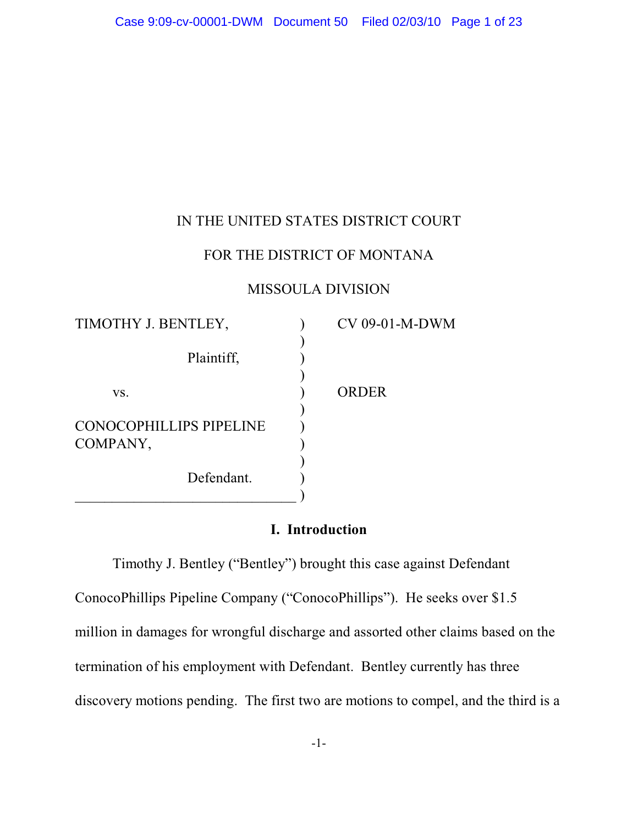## IN THE UNITED STATES DISTRICT COURT

# FOR THE DISTRICT OF MONTANA

### MISSOULA DIVISION

| TIMOTHY J. BENTLEY,            | CV 09-01-M-DWM |
|--------------------------------|----------------|
| Plaintiff,                     |                |
|                                |                |
| VS.                            | ORDER          |
| <b>CONOCOPHILLIPS PIPELINE</b> |                |
| COMPANY,                       |                |
| Defendant.                     |                |
|                                |                |

# **I. Introduction**

Timothy J. Bentley ("Bentley") brought this case against Defendant ConocoPhillips Pipeline Company ("ConocoPhillips"). He seeks over \$1.5 million in damages for wrongful discharge and assorted other claims based on the termination of his employment with Defendant. Bentley currently has three discovery motions pending. The first two are motions to compel, and the third is a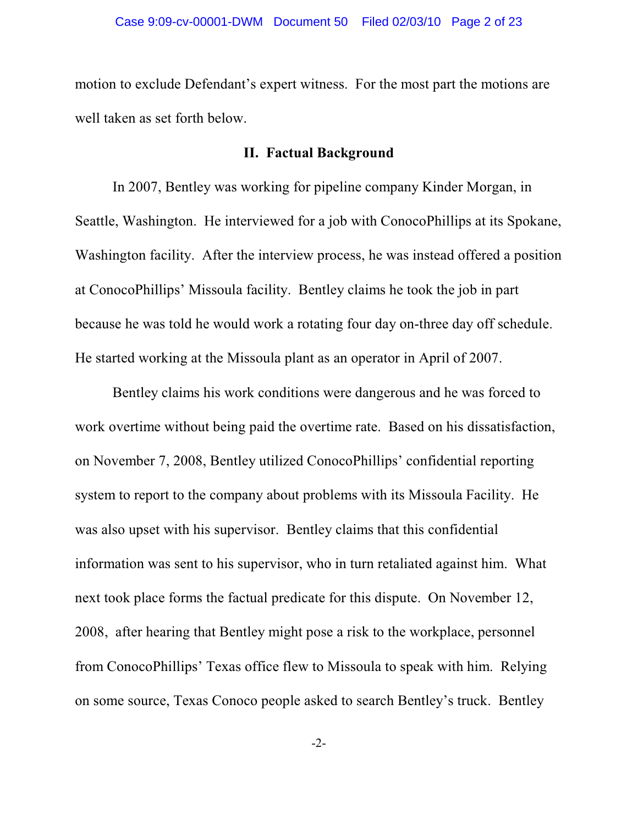motion to exclude Defendant's expert witness. For the most part the motions are well taken as set forth below.

#### **II. Factual Background**

In 2007, Bentley was working for pipeline company Kinder Morgan, in Seattle, Washington. He interviewed for a job with ConocoPhillips at its Spokane, Washington facility. After the interview process, he was instead offered a position at ConocoPhillips' Missoula facility. Bentley claims he took the job in part because he was told he would work a rotating four day on-three day off schedule. He started working at the Missoula plant as an operator in April of 2007.

Bentley claims his work conditions were dangerous and he was forced to work overtime without being paid the overtime rate. Based on his dissatisfaction, on November 7, 2008, Bentley utilized ConocoPhillips' confidential reporting system to report to the company about problems with its Missoula Facility. He was also upset with his supervisor. Bentley claims that this confidential information was sent to his supervisor, who in turn retaliated against him. What next took place forms the factual predicate for this dispute. On November 12, 2008, after hearing that Bentley might pose a risk to the workplace, personnel from ConocoPhillips' Texas office flew to Missoula to speak with him. Relying on some source, Texas Conoco people asked to search Bentley's truck. Bentley

-2-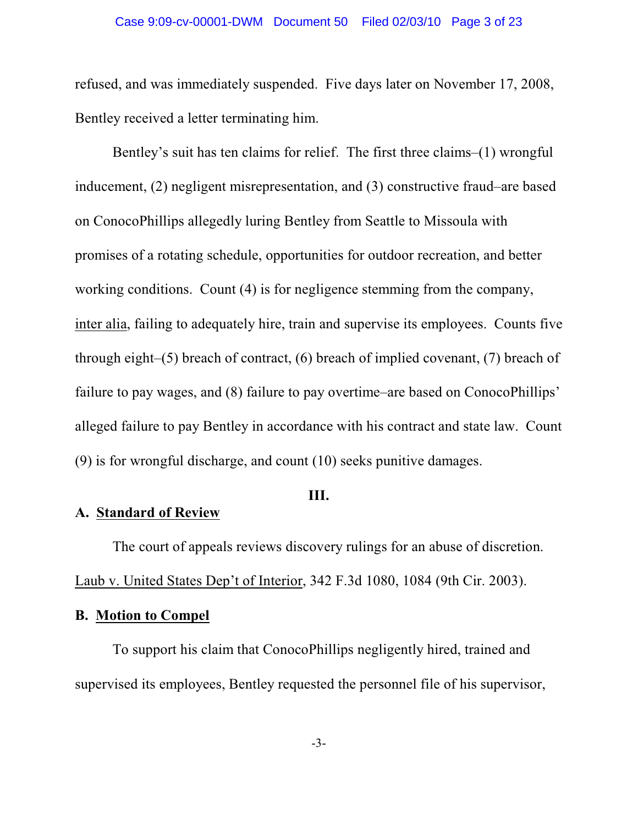#### Case 9:09-cv-00001-DWM Document 50 Filed 02/03/10 Page 3 of 23

refused, and was immediately suspended. Five days later on November 17, 2008, Bentley received a letter terminating him.

Bentley's suit has ten claims for relief. The first three claims–(1) wrongful inducement, (2) negligent misrepresentation, and (3) constructive fraud–are based on ConocoPhillips allegedly luring Bentley from Seattle to Missoula with promises of a rotating schedule, opportunities for outdoor recreation, and better working conditions. Count (4) is for negligence stemming from the company, inter alia, failing to adequately hire, train and supervise its employees. Counts five through eight–(5) breach of contract, (6) breach of implied covenant, (7) breach of failure to pay wages, and (8) failure to pay overtime–are based on ConocoPhillips' alleged failure to pay Bentley in accordance with his contract and state law. Count (9) is for wrongful discharge, and count (10) seeks punitive damages.

#### **III.**

# **A. Standard of Review**

The court of appeals reviews discovery rulings for an abuse of discretion. Laub v. United States Dep't of Interior, 342 F.3d 1080, 1084 (9th Cir. 2003).

## **B. Motion to Compel**

To support his claim that ConocoPhillips negligently hired, trained and supervised its employees, Bentley requested the personnel file of his supervisor,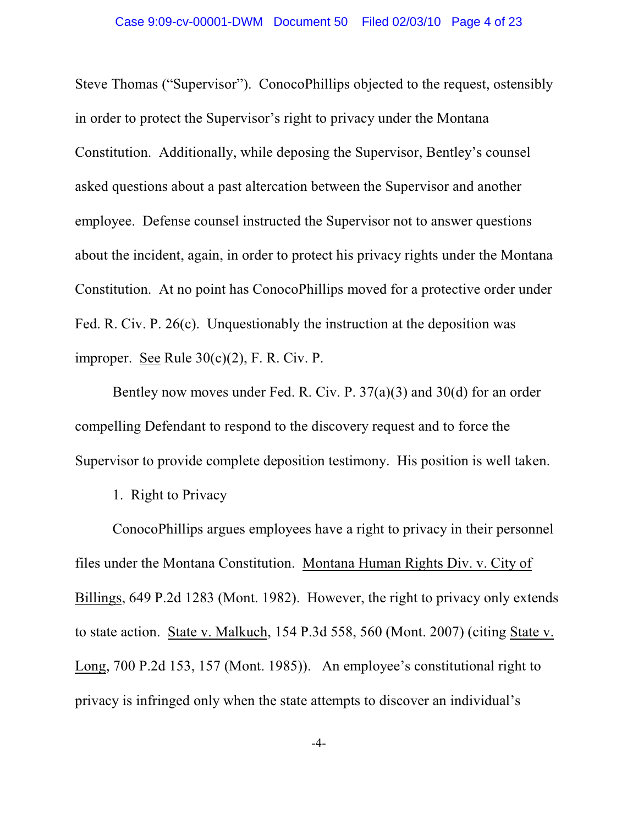Steve Thomas ("Supervisor"). ConocoPhillips objected to the request, ostensibly in order to protect the Supervisor's right to privacy under the Montana Constitution. Additionally, while deposing the Supervisor, Bentley's counsel asked questions about a past altercation between the Supervisor and another employee. Defense counsel instructed the Supervisor not to answer questions about the incident, again, in order to protect his privacy rights under the Montana Constitution. At no point has ConocoPhillips moved for a protective order under Fed. R. Civ. P. 26(c). Unquestionably the instruction at the deposition was improper. See Rule 30(c)(2), F. R. Civ. P.

Bentley now moves under Fed. R. Civ. P. 37(a)(3) and 30(d) for an order compelling Defendant to respond to the discovery request and to force the Supervisor to provide complete deposition testimony. His position is well taken.

1. Right to Privacy

ConocoPhillips argues employees have a right to privacy in their personnel files under the Montana Constitution. Montana Human Rights Div. v. City of Billings, 649 P.2d 1283 (Mont. 1982). However, the right to privacy only extends to state action. State v. Malkuch, 154 P.3d 558, 560 (Mont. 2007) (citing State v. Long, 700 P.2d 153, 157 (Mont. 1985)). An employee's constitutional right to privacy is infringed only when the state attempts to discover an individual's

-4-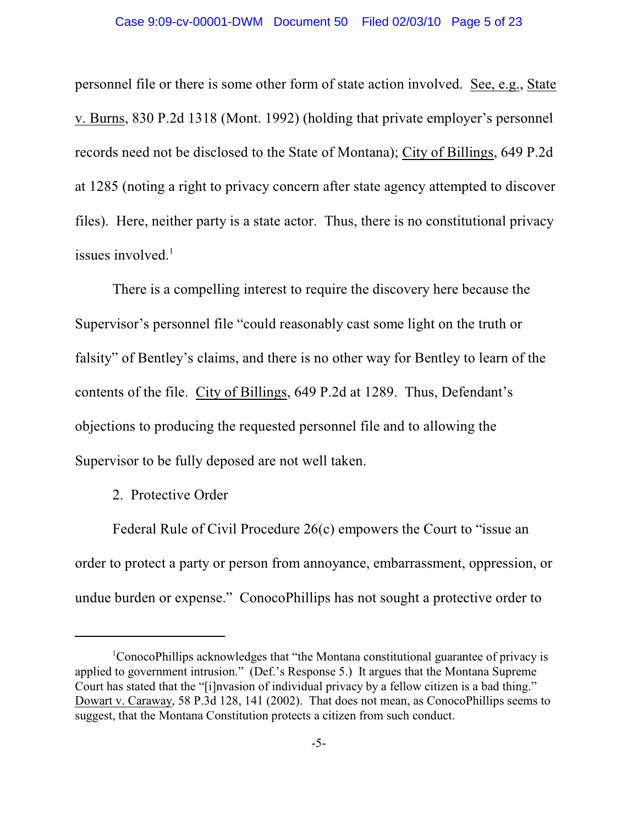personnel file or there is some other form of state action involved. See, e.g., State v. Burns, 830 P.2d 1318 (Mont. 1992) (holding that private employer's personnel records need not be disclosed to the State of Montana); City of Billings, 649 P.2d at 1285 (noting a right to privacy concern after state agency attempted to discover files). Here, neither party is a state actor. Thus, there is no constitutional privacy issues involved.<sup>1</sup>

There is a compelling interest to require the discovery here because the Supervisor's personnel file "could reasonably cast some light on the truth or falsity" of Bentley's claims, and there is no other way for Bentley to learn of the contents of the file. City of Billings, 649 P.2d at 1289. Thus, Defendant's objections to producing the requested personnel file and to allowing the Supervisor to be fully deposed are not well taken.

2. Protective Order

Federal Rule of Civil Procedure 26(c) empowers the Court to "issue an order to protect a party or person from annoyance, embarrassment, oppression, or undue burden or expense." ConocoPhillips has not sought a protective order to

<sup>&</sup>lt;sup>1</sup>ConocoPhillips acknowledges that "the Montana constitutional guarantee of privacy is applied to government intrusion." (Def.'s Response 5.) It argues that the Montana Supreme Court has stated that the "[i]nvasion of individual privacy by a fellow citizen is a bad thing." Dowart v. Caraway, 58 P.3d 128, 141 (2002). That does not mean, as ConocoPhillips seems to suggest, that the Montana Constitution protects a citizen from such conduct.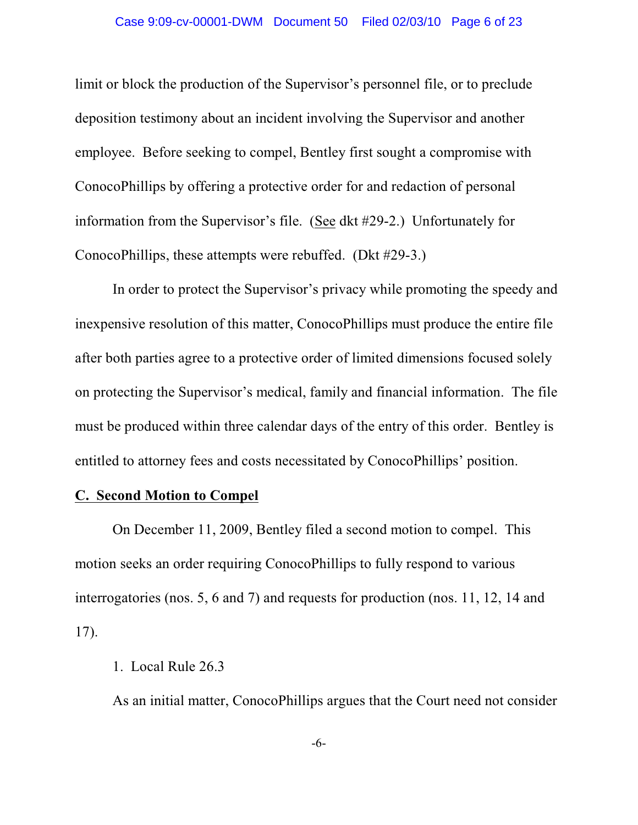limit or block the production of the Supervisor's personnel file, or to preclude deposition testimony about an incident involving the Supervisor and another employee. Before seeking to compel, Bentley first sought a compromise with ConocoPhillips by offering a protective order for and redaction of personal information from the Supervisor's file. (See dkt #29-2.) Unfortunately for ConocoPhillips, these attempts were rebuffed. (Dkt #29-3.)

In order to protect the Supervisor's privacy while promoting the speedy and inexpensive resolution of this matter, ConocoPhillips must produce the entire file after both parties agree to a protective order of limited dimensions focused solely on protecting the Supervisor's medical, family and financial information. The file must be produced within three calendar days of the entry of this order. Bentley is entitled to attorney fees and costs necessitated by ConocoPhillips' position.

## **C. Second Motion to Compel**

On December 11, 2009, Bentley filed a second motion to compel. This motion seeks an order requiring ConocoPhillips to fully respond to various interrogatories (nos. 5, 6 and 7) and requests for production (nos. 11, 12, 14 and 17).

#### 1. Local Rule 26.3

As an initial matter, ConocoPhillips argues that the Court need not consider

-6-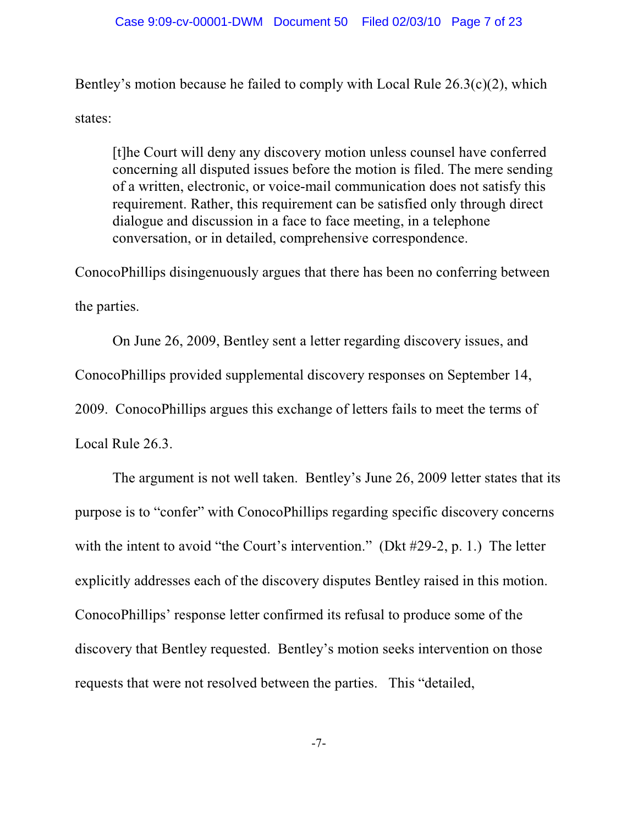Bentley's motion because he failed to comply with Local Rule  $26.3(c)(2)$ , which states:

[t]he Court will deny any discovery motion unless counsel have conferred concerning all disputed issues before the motion is filed. The mere sending of a written, electronic, or voice-mail communication does not satisfy this requirement. Rather, this requirement can be satisfied only through direct dialogue and discussion in a face to face meeting, in a telephone conversation, or in detailed, comprehensive correspondence.

ConocoPhillips disingenuously argues that there has been no conferring between the parties.

On June 26, 2009, Bentley sent a letter regarding discovery issues, and ConocoPhillips provided supplemental discovery responses on September 14, 2009. ConocoPhillips argues this exchange of letters fails to meet the terms of Local Rule 26.3.

The argument is not well taken. Bentley's June 26, 2009 letter states that its purpose is to "confer" with ConocoPhillips regarding specific discovery concerns with the intent to avoid "the Court's intervention." (Dkt #29-2, p. 1.) The letter explicitly addresses each of the discovery disputes Bentley raised in this motion. ConocoPhillips' response letter confirmed its refusal to produce some of the discovery that Bentley requested. Bentley's motion seeks intervention on those requests that were not resolved between the parties. This "detailed,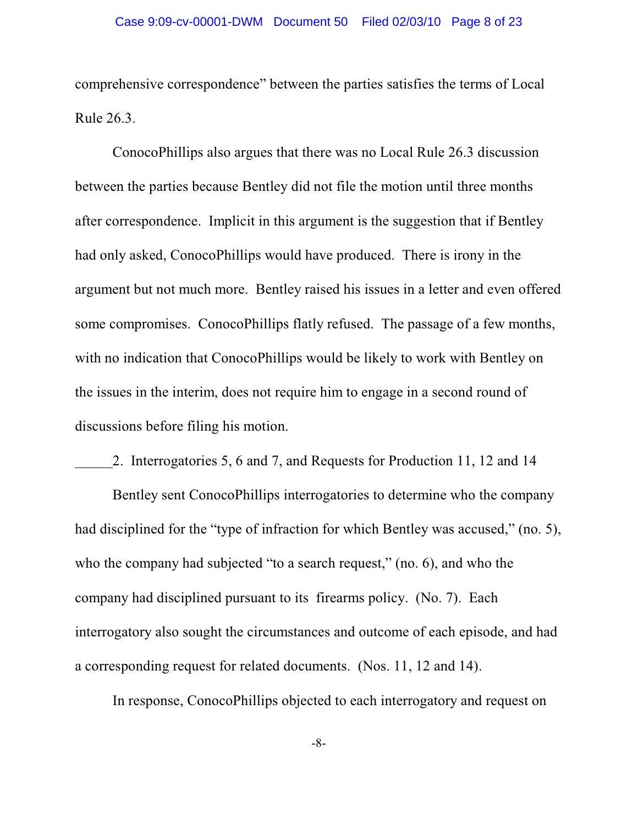comprehensive correspondence" between the parties satisfies the terms of Local Rule 26.3.

ConocoPhillips also argues that there was no Local Rule 26.3 discussion between the parties because Bentley did not file the motion until three months after correspondence. Implicit in this argument is the suggestion that if Bentley had only asked, ConocoPhillips would have produced. There is irony in the argument but not much more. Bentley raised his issues in a letter and even offered some compromises. ConocoPhillips flatly refused. The passage of a few months, with no indication that ConocoPhillips would be likely to work with Bentley on the issues in the interim, does not require him to engage in a second round of discussions before filing his motion.

2. Interrogatories 5, 6 and 7, and Requests for Production 11, 12 and 14

Bentley sent ConocoPhillips interrogatories to determine who the company had disciplined for the "type of infraction for which Bentley was accused," (no. 5), who the company had subjected "to a search request," (no. 6), and who the company had disciplined pursuant to its firearms policy. (No. 7). Each interrogatory also sought the circumstances and outcome of each episode, and had a corresponding request for related documents. (Nos. 11, 12 and 14).

In response, ConocoPhillips objected to each interrogatory and request on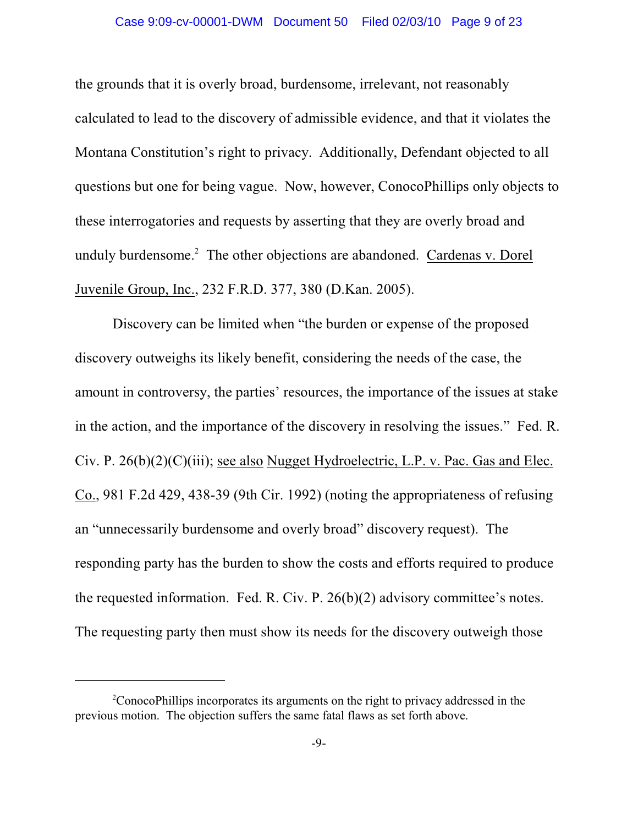#### Case 9:09-cv-00001-DWM Document 50 Filed 02/03/10 Page 9 of 23

the grounds that it is overly broad, burdensome, irrelevant, not reasonably calculated to lead to the discovery of admissible evidence, and that it violates the Montana Constitution's right to privacy. Additionally, Defendant objected to all questions but one for being vague. Now, however, ConocoPhillips only objects to these interrogatories and requests by asserting that they are overly broad and unduly burdensome.<sup>2</sup> The other objections are abandoned. Cardenas v. Dorel Juvenile Group, Inc., 232 F.R.D. 377, 380 (D.Kan. 2005).

Discovery can be limited when "the burden or expense of the proposed discovery outweighs its likely benefit, considering the needs of the case, the amount in controversy, the parties' resources, the importance of the issues at stake in the action, and the importance of the discovery in resolving the issues." Fed. R. Civ. P. 26(b)(2)(C)(iii); see also Nugget Hydroelectric, L.P. v. Pac. Gas and Elec. Co., 981 F.2d 429, 438-39 (9th Cir. 1992) (noting the appropriateness of refusing an "unnecessarily burdensome and overly broad" discovery request). The responding party has the burden to show the costs and efforts required to produce the requested information. Fed. R. Civ. P. 26(b)(2) advisory committee's notes. The requesting party then must show its needs for the discovery outweigh those

<sup>&</sup>lt;sup>2</sup>ConocoPhillips incorporates its arguments on the right to privacy addressed in the previous motion. The objection suffers the same fatal flaws as set forth above.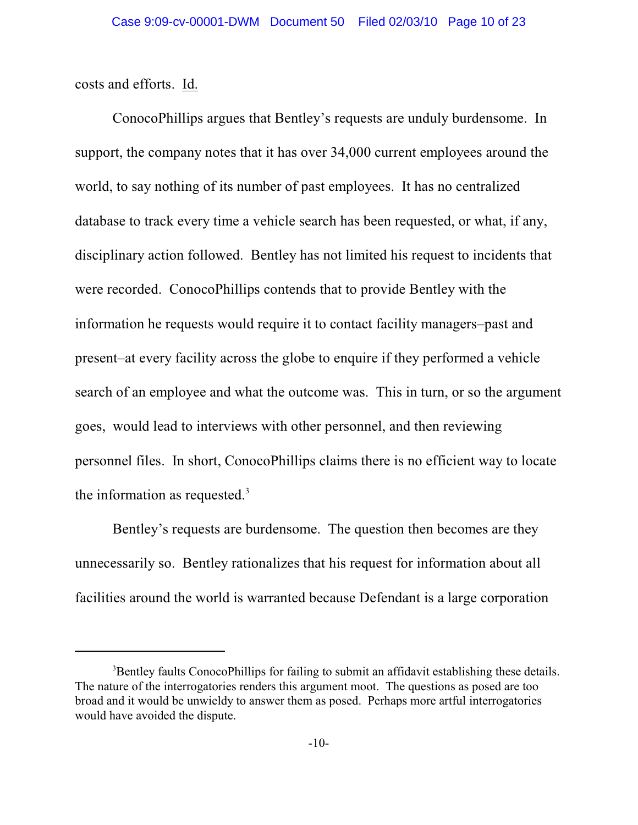costs and efforts. Id.

ConocoPhillips argues that Bentley's requests are unduly burdensome. In support, the company notes that it has over 34,000 current employees around the world, to say nothing of its number of past employees. It has no centralized database to track every time a vehicle search has been requested, or what, if any, disciplinary action followed. Bentley has not limited his request to incidents that were recorded. ConocoPhillips contends that to provide Bentley with the information he requests would require it to contact facility managers–past and present–at every facility across the globe to enquire if they performed a vehicle search of an employee and what the outcome was. This in turn, or so the argument goes, would lead to interviews with other personnel, and then reviewing personnel files. In short, ConocoPhillips claims there is no efficient way to locate the information as requested.<sup>3</sup>

Bentley's requests are burdensome. The question then becomes are they unnecessarily so. Bentley rationalizes that his request for information about all facilities around the world is warranted because Defendant is a large corporation

<sup>&</sup>lt;sup>3</sup>Bentley faults ConocoPhillips for failing to submit an affidavit establishing these details. The nature of the interrogatories renders this argument moot. The questions as posed are too broad and it would be unwieldy to answer them as posed. Perhaps more artful interrogatories would have avoided the dispute.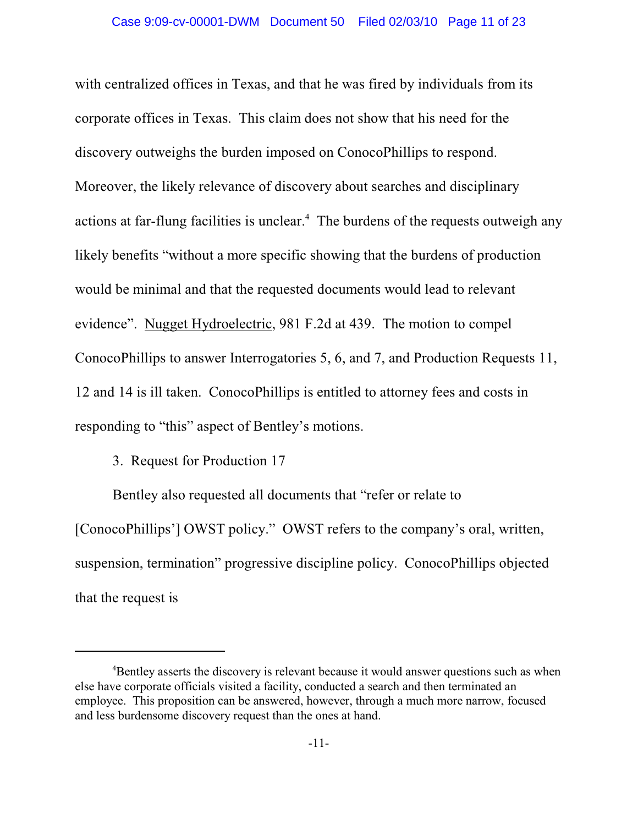with centralized offices in Texas, and that he was fired by individuals from its corporate offices in Texas. This claim does not show that his need for the discovery outweighs the burden imposed on ConocoPhillips to respond. Moreover, the likely relevance of discovery about searches and disciplinary actions at far-flung facilities is unclear. $4$  The burdens of the requests outweigh any likely benefits "without a more specific showing that the burdens of production would be minimal and that the requested documents would lead to relevant evidence". Nugget Hydroelectric, 981 F.2d at 439. The motion to compel ConocoPhillips to answer Interrogatories 5, 6, and 7, and Production Requests 11, 12 and 14 is ill taken. ConocoPhillips is entitled to attorney fees and costs in responding to "this" aspect of Bentley's motions.

3. Request for Production 17

Bentley also requested all documents that "refer or relate to [ConocoPhillips'] OWST policy." OWST refers to the company's oral, written, suspension, termination" progressive discipline policy. ConocoPhillips objected that the request is

<sup>&</sup>lt;sup>4</sup>Bentley asserts the discovery is relevant because it would answer questions such as when else have corporate officials visited a facility, conducted a search and then terminated an employee. This proposition can be answered, however, through a much more narrow, focused and less burdensome discovery request than the ones at hand.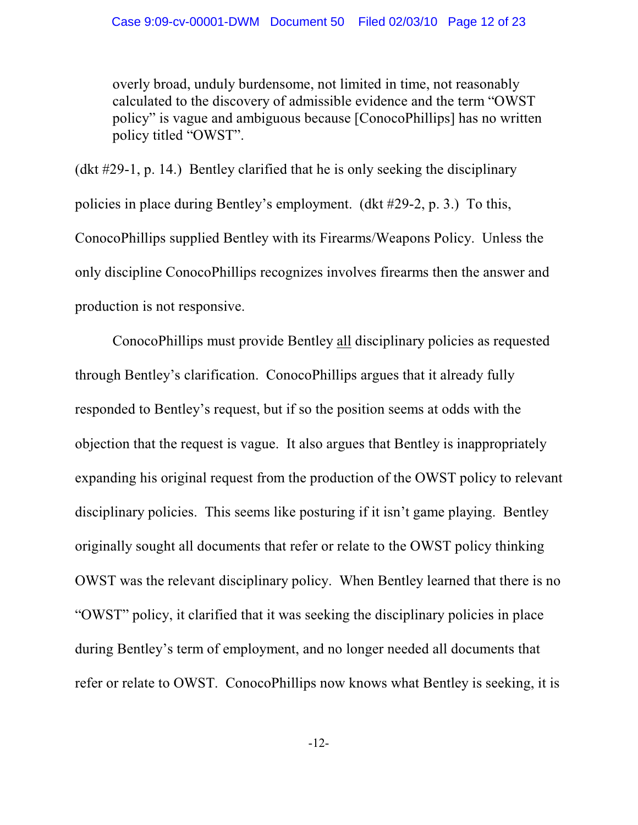overly broad, unduly burdensome, not limited in time, not reasonably calculated to the discovery of admissible evidence and the term "OWST policy" is vague and ambiguous because [ConocoPhillips] has no written policy titled "OWST".

(dkt #29-1, p. 14.) Bentley clarified that he is only seeking the disciplinary policies in place during Bentley's employment. (dkt #29-2, p. 3.) To this, ConocoPhillips supplied Bentley with its Firearms/Weapons Policy. Unless the only discipline ConocoPhillips recognizes involves firearms then the answer and production is not responsive.

ConocoPhillips must provide Bentley all disciplinary policies as requested through Bentley's clarification. ConocoPhillips argues that it already fully responded to Bentley's request, but if so the position seems at odds with the objection that the request is vague. It also argues that Bentley is inappropriately expanding his original request from the production of the OWST policy to relevant disciplinary policies. This seems like posturing if it isn't game playing. Bentley originally sought all documents that refer or relate to the OWST policy thinking OWST was the relevant disciplinary policy. When Bentley learned that there is no "OWST" policy, it clarified that it was seeking the disciplinary policies in place during Bentley's term of employment, and no longer needed all documents that refer or relate to OWST. ConocoPhillips now knows what Bentley is seeking, it is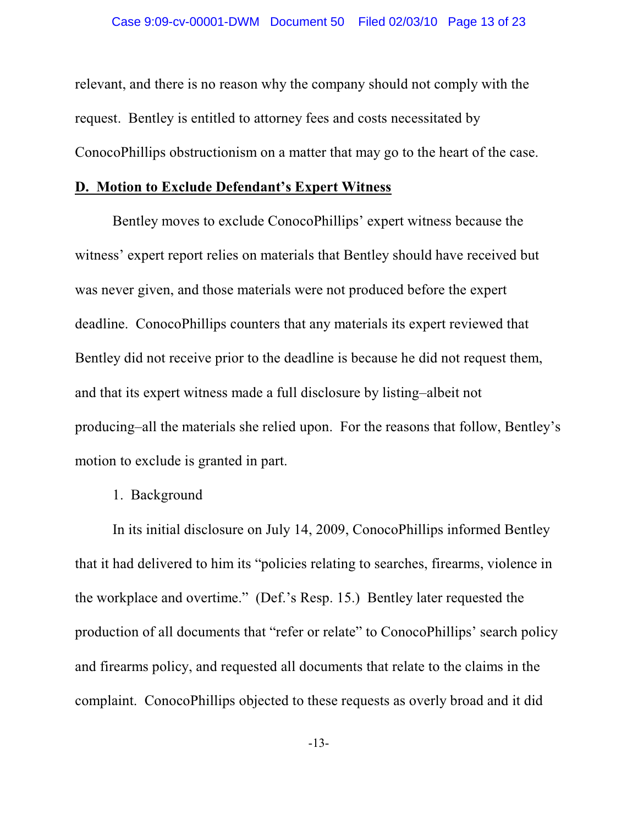relevant, and there is no reason why the company should not comply with the request. Bentley is entitled to attorney fees and costs necessitated by ConocoPhillips obstructionism on a matter that may go to the heart of the case.

#### **D. Motion to Exclude Defendant's Expert Witness**

Bentley moves to exclude ConocoPhillips' expert witness because the witness' expert report relies on materials that Bentley should have received but was never given, and those materials were not produced before the expert deadline. ConocoPhillips counters that any materials its expert reviewed that Bentley did not receive prior to the deadline is because he did not request them, and that its expert witness made a full disclosure by listing–albeit not producing–all the materials she relied upon. For the reasons that follow, Bentley's motion to exclude is granted in part.

# 1. Background

In its initial disclosure on July 14, 2009, ConocoPhillips informed Bentley that it had delivered to him its "policies relating to searches, firearms, violence in the workplace and overtime." (Def.'s Resp. 15.) Bentley later requested the production of all documents that "refer or relate" to ConocoPhillips' search policy and firearms policy, and requested all documents that relate to the claims in the complaint. ConocoPhillips objected to these requests as overly broad and it did

-13-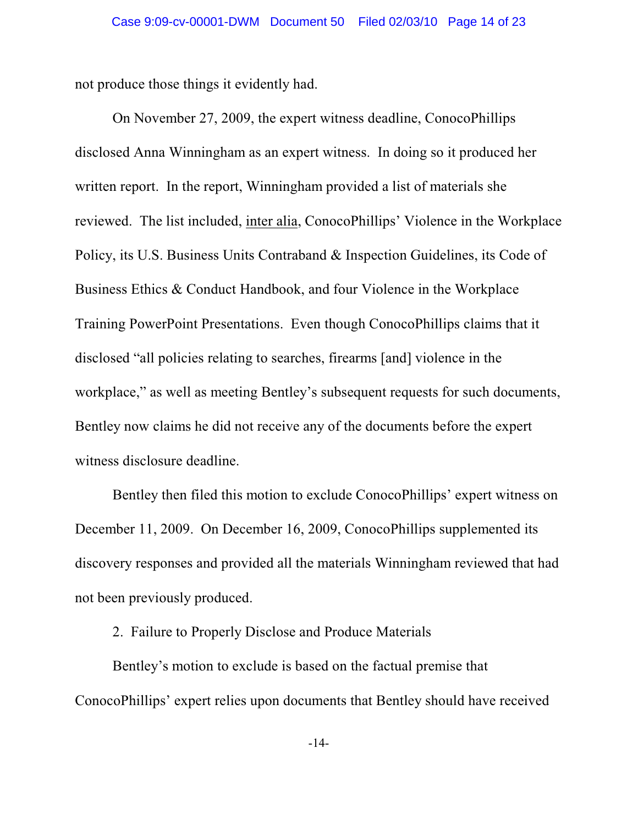not produce those things it evidently had.

On November 27, 2009, the expert witness deadline, ConocoPhillips disclosed Anna Winningham as an expert witness. In doing so it produced her written report. In the report, Winningham provided a list of materials she reviewed. The list included, inter alia, ConocoPhillips' Violence in the Workplace Policy, its U.S. Business Units Contraband & Inspection Guidelines, its Code of Business Ethics & Conduct Handbook, and four Violence in the Workplace Training PowerPoint Presentations. Even though ConocoPhillips claims that it disclosed "all policies relating to searches, firearms [and] violence in the workplace," as well as meeting Bentley's subsequent requests for such documents, Bentley now claims he did not receive any of the documents before the expert witness disclosure deadline.

Bentley then filed this motion to exclude ConocoPhillips' expert witness on December 11, 2009. On December 16, 2009, ConocoPhillips supplemented its discovery responses and provided all the materials Winningham reviewed that had not been previously produced.

2. Failure to Properly Disclose and Produce Materials

Bentley's motion to exclude is based on the factual premise that ConocoPhillips' expert relies upon documents that Bentley should have received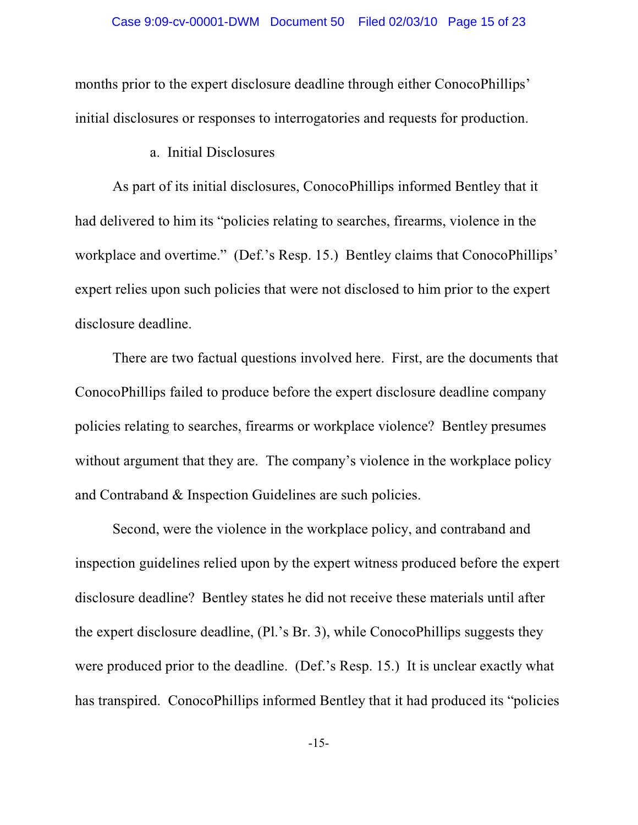months prior to the expert disclosure deadline through either ConocoPhillips' initial disclosures or responses to interrogatories and requests for production.

a. Initial Disclosures

As part of its initial disclosures, ConocoPhillips informed Bentley that it had delivered to him its "policies relating to searches, firearms, violence in the workplace and overtime." (Def.'s Resp. 15.) Bentley claims that ConocoPhillips' expert relies upon such policies that were not disclosed to him prior to the expert disclosure deadline.

There are two factual questions involved here. First, are the documents that ConocoPhillips failed to produce before the expert disclosure deadline company policies relating to searches, firearms or workplace violence? Bentley presumes without argument that they are. The company's violence in the workplace policy and Contraband & Inspection Guidelines are such policies.

Second, were the violence in the workplace policy, and contraband and inspection guidelines relied upon by the expert witness produced before the expert disclosure deadline? Bentley states he did not receive these materials until after the expert disclosure deadline, (Pl.'s Br. 3), while ConocoPhillips suggests they were produced prior to the deadline. (Def.'s Resp. 15.) It is unclear exactly what has transpired. ConocoPhillips informed Bentley that it had produced its "policies

-15-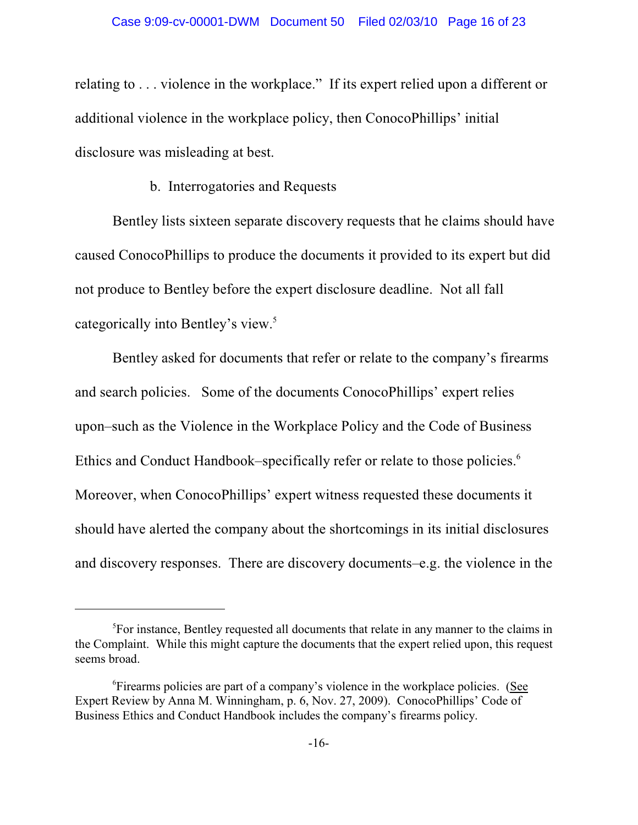relating to . . . violence in the workplace." If its expert relied upon a different or additional violence in the workplace policy, then ConocoPhillips' initial disclosure was misleading at best.

## b. Interrogatories and Requests

Bentley lists sixteen separate discovery requests that he claims should have caused ConocoPhillips to produce the documents it provided to its expert but did not produce to Bentley before the expert disclosure deadline. Not all fall categorically into Bentley's view.<sup>5</sup>

Bentley asked for documents that refer or relate to the company's firearms and search policies. Some of the documents ConocoPhillips' expert relies upon–such as the Violence in the Workplace Policy and the Code of Business Ethics and Conduct Handbook–specifically refer or relate to those policies.<sup>6</sup> Moreover, when ConocoPhillips' expert witness requested these documents it should have alerted the company about the shortcomings in its initial disclosures and discovery responses. There are discovery documents–e.g. the violence in the

<sup>&</sup>lt;sup>5</sup>For instance, Bentley requested all documents that relate in any manner to the claims in the Complaint. While this might capture the documents that the expert relied upon, this request seems broad.

<sup>&</sup>lt;sup>6</sup>Firearms policies are part of a company's violence in the workplace policies. (See Expert Review by Anna M. Winningham, p. 6, Nov. 27, 2009). ConocoPhillips' Code of Business Ethics and Conduct Handbook includes the company's firearms policy.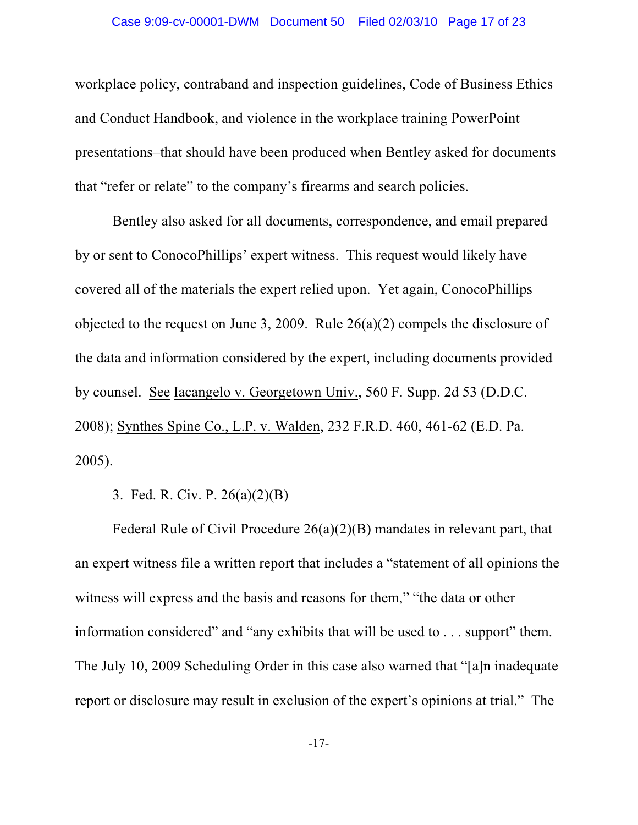#### Case 9:09-cv-00001-DWM Document 50 Filed 02/03/10 Page 17 of 23

workplace policy, contraband and inspection guidelines, Code of Business Ethics and Conduct Handbook, and violence in the workplace training PowerPoint presentations–that should have been produced when Bentley asked for documents that "refer or relate" to the company's firearms and search policies.

Bentley also asked for all documents, correspondence, and email prepared by or sent to ConocoPhillips' expert witness. This request would likely have covered all of the materials the expert relied upon. Yet again, ConocoPhillips objected to the request on June 3, 2009. Rule 26(a)(2) compels the disclosure of the data and information considered by the expert, including documents provided by counsel. See Iacangelo v. Georgetown Univ., 560 F. Supp. 2d 53 (D.D.C. 2008); Synthes Spine Co., L.P. v. Walden, 232 F.R.D. 460, 461-62 (E.D. Pa. 2005).

3. Fed. R. Civ. P. 26(a)(2)(B)

Federal Rule of Civil Procedure 26(a)(2)(B) mandates in relevant part, that an expert witness file a written report that includes a "statement of all opinions the witness will express and the basis and reasons for them," "the data or other information considered" and "any exhibits that will be used to . . . support" them. The July 10, 2009 Scheduling Order in this case also warned that "[a]n inadequate report or disclosure may result in exclusion of the expert's opinions at trial." The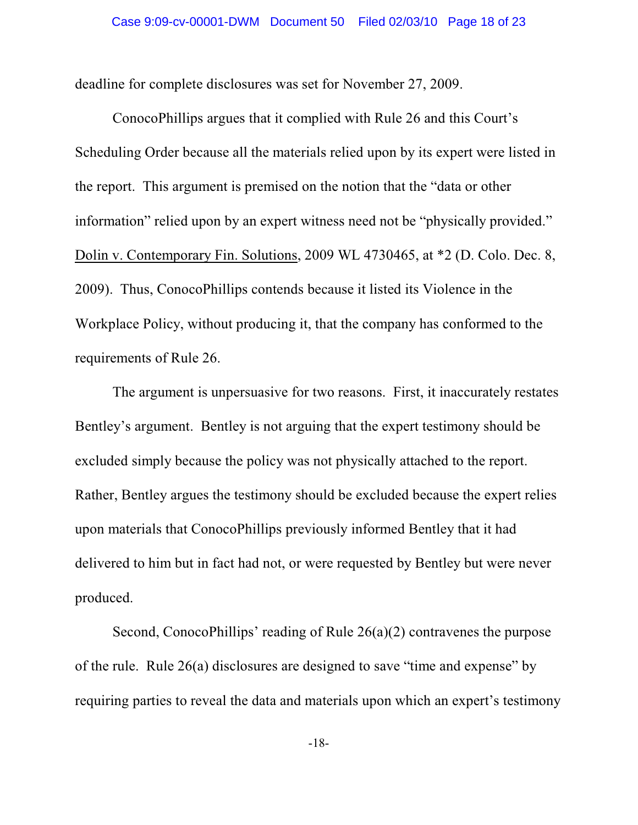deadline for complete disclosures was set for November 27, 2009.

ConocoPhillips argues that it complied with Rule 26 and this Court's Scheduling Order because all the materials relied upon by its expert were listed in the report. This argument is premised on the notion that the "data or other information" relied upon by an expert witness need not be "physically provided." Dolin v. Contemporary Fin. Solutions, 2009 WL 4730465, at \*2 (D. Colo. Dec. 8, 2009). Thus, ConocoPhillips contends because it listed its Violence in the Workplace Policy, without producing it, that the company has conformed to the requirements of Rule 26.

The argument is unpersuasive for two reasons. First, it inaccurately restates Bentley's argument. Bentley is not arguing that the expert testimony should be excluded simply because the policy was not physically attached to the report. Rather, Bentley argues the testimony should be excluded because the expert relies upon materials that ConocoPhillips previously informed Bentley that it had delivered to him but in fact had not, or were requested by Bentley but were never produced.

Second, ConocoPhillips' reading of Rule 26(a)(2) contravenes the purpose of the rule. Rule 26(a) disclosures are designed to save "time and expense" by requiring parties to reveal the data and materials upon which an expert's testimony

-18-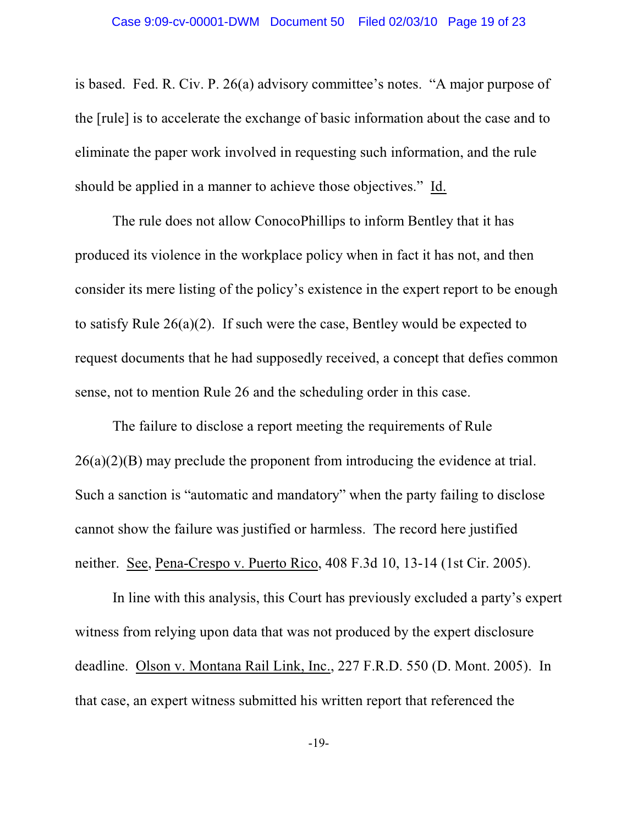is based. Fed. R. Civ. P. 26(a) advisory committee's notes. "A major purpose of the [rule] is to accelerate the exchange of basic information about the case and to eliminate the paper work involved in requesting such information, and the rule should be applied in a manner to achieve those objectives." Id.

The rule does not allow ConocoPhillips to inform Bentley that it has produced its violence in the workplace policy when in fact it has not, and then consider its mere listing of the policy's existence in the expert report to be enough to satisfy Rule 26(a)(2). If such were the case, Bentley would be expected to request documents that he had supposedly received, a concept that defies common sense, not to mention Rule 26 and the scheduling order in this case.

The failure to disclose a report meeting the requirements of Rule 26(a)(2)(B) may preclude the proponent from introducing the evidence at trial. Such a sanction is "automatic and mandatory" when the party failing to disclose cannot show the failure was justified or harmless. The record here justified neither. See, Pena-Crespo v. Puerto Rico, 408 F.3d 10, 13-14 (1st Cir. 2005).

In line with this analysis, this Court has previously excluded a party's expert witness from relying upon data that was not produced by the expert disclosure deadline. Olson v. Montana Rail Link, Inc., 227 F.R.D. 550 (D. Mont. 2005). In that case, an expert witness submitted his written report that referenced the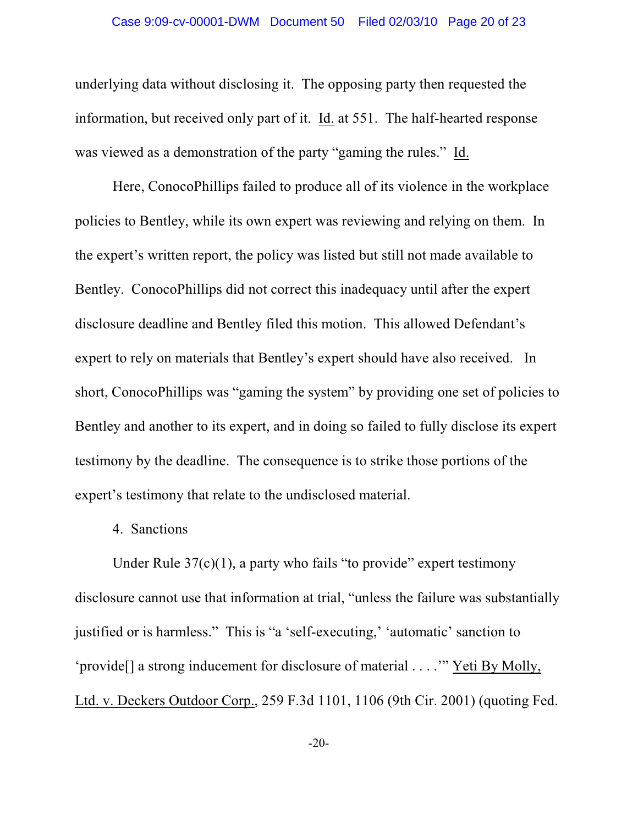underlying data without disclosing it. The opposing party then requested the information, but received only part of it. Id. at 551. The half-hearted response was viewed as a demonstration of the party "gaming the rules." Id.

Here, ConocoPhillips failed to produce all of its violence in the workplace policies to Bentley, while its own expert was reviewing and relying on them. In the expert's written report, the policy was listed but still not made available to Bentley. ConocoPhillips did not correct this inadequacy until after the expert disclosure deadline and Bentley filed this motion. This allowed Defendant's expert to rely on materials that Bentley's expert should have also received. In short, ConocoPhillips was "gaming the system" by providing one set of policies to Bentley and another to its expert, and in doing so failed to fully disclose its expert testimony by the deadline. The consequence is to strike those portions of the expert's testimony that relate to the undisclosed material.

#### 4. Sanctions

Under Rule  $37(c)(1)$ , a party who fails "to provide" expert testimony disclosure cannot use that information at trial, "unless the failure was substantially justified or is harmless." This is "a 'self-executing,' 'automatic' sanction to 'provide[] a strong inducement for disclosure of material . . . .'" Yeti By Molly, Ltd. v. Deckers Outdoor Corp., 259 F.3d 1101, 1106 (9th Cir. 2001) (quoting Fed.

-20-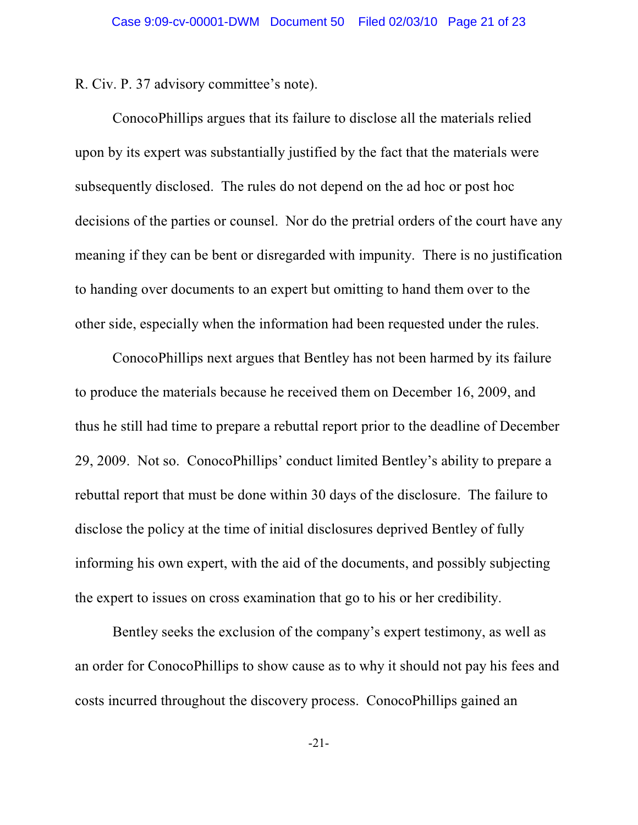R. Civ. P. 37 advisory committee's note).

ConocoPhillips argues that its failure to disclose all the materials relied upon by its expert was substantially justified by the fact that the materials were subsequently disclosed. The rules do not depend on the ad hoc or post hoc decisions of the parties or counsel. Nor do the pretrial orders of the court have any meaning if they can be bent or disregarded with impunity. There is no justification to handing over documents to an expert but omitting to hand them over to the other side, especially when the information had been requested under the rules.

ConocoPhillips next argues that Bentley has not been harmed by its failure to produce the materials because he received them on December 16, 2009, and thus he still had time to prepare a rebuttal report prior to the deadline of December 29, 2009. Not so. ConocoPhillips' conduct limited Bentley's ability to prepare a rebuttal report that must be done within 30 days of the disclosure. The failure to disclose the policy at the time of initial disclosures deprived Bentley of fully informing his own expert, with the aid of the documents, and possibly subjecting the expert to issues on cross examination that go to his or her credibility.

Bentley seeks the exclusion of the company's expert testimony, as well as an order for ConocoPhillips to show cause as to why it should not pay his fees and costs incurred throughout the discovery process. ConocoPhillips gained an

-21-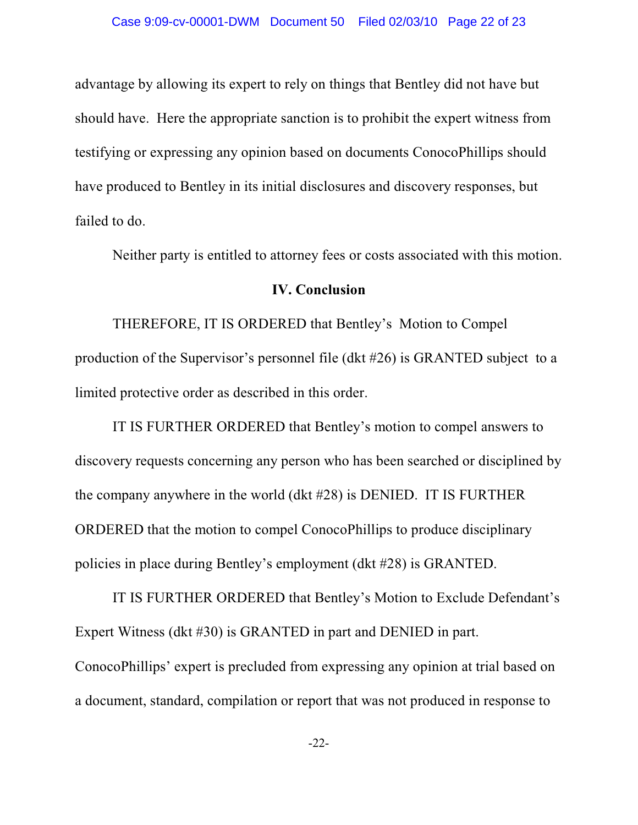advantage by allowing its expert to rely on things that Bentley did not have but should have. Here the appropriate sanction is to prohibit the expert witness from testifying or expressing any opinion based on documents ConocoPhillips should have produced to Bentley in its initial disclosures and discovery responses, but failed to do.

Neither party is entitled to attorney fees or costs associated with this motion.

#### **IV. Conclusion**

THEREFORE, IT IS ORDERED that Bentley's Motion to Compel production of the Supervisor's personnel file (dkt #26) is GRANTED subject to a limited protective order as described in this order.

IT IS FURTHER ORDERED that Bentley's motion to compel answers to discovery requests concerning any person who has been searched or disciplined by the company anywhere in the world (dkt #28) is DENIED. IT IS FURTHER ORDERED that the motion to compel ConocoPhillips to produce disciplinary policies in place during Bentley's employment (dkt #28) is GRANTED.

IT IS FURTHER ORDERED that Bentley's Motion to Exclude Defendant's Expert Witness (dkt #30) is GRANTED in part and DENIED in part. ConocoPhillips' expert is precluded from expressing any opinion at trial based on a document, standard, compilation or report that was not produced in response to